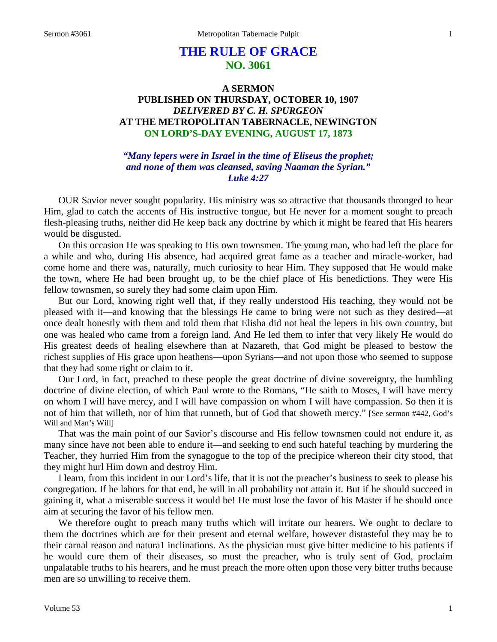# **THE RULE OF GRACE NO. 3061**

# **A SERMON PUBLISHED ON THURSDAY, OCTOBER 10, 1907** *DELIVERED BY C. H. SPURGEON* **AT THE METROPOLITAN TABERNACLE, NEWINGTON ON LORD'S-DAY EVENING, AUGUST 17, 1873**

# *"Many lepers were in Israel in the time of Eliseus the prophet; and none of them was cleansed, saving Naaman the Syrian." Luke 4:27*

OUR Savior never sought popularity. His ministry was so attractive that thousands thronged to hear Him, glad to catch the accents of His instructive tongue, but He never for a moment sought to preach flesh-pleasing truths, neither did He keep back any doctrine by which it might be feared that His hearers would be disgusted.

On this occasion He was speaking to His own townsmen. The young man, who had left the place for a while and who, during His absence, had acquired great fame as a teacher and miracle-worker, had come home and there was, naturally, much curiosity to hear Him. They supposed that He would make the town, where He had been brought up, to be the chief place of His benedictions. They were His fellow townsmen, so surely they had some claim upon Him.

But our Lord, knowing right well that, if they really understood His teaching, they would not be pleased with it—and knowing that the blessings He came to bring were not such as they desired—at once dealt honestly with them and told them that Elisha did not heal the lepers in his own country, but one was healed who came from a foreign land. And He led them to infer that very likely He would do His greatest deeds of healing elsewhere than at Nazareth, that God might be pleased to bestow the richest supplies of His grace upon heathens—upon Syrians—and not upon those who seemed to suppose that they had some right or claim to it.

Our Lord, in fact, preached to these people the great doctrine of divine sovereignty, the humbling doctrine of divine election, of which Paul wrote to the Romans, "He saith to Moses, I will have mercy on whom I will have mercy, and I will have compassion on whom I will have compassion. So then it is not of him that willeth, nor of him that runneth, but of God that showeth mercy." [See sermon #442, God's Will and Man's Will]

That was the main point of our Savior's discourse and His fellow townsmen could not endure it, as many since have not been able to endure it—and seeking to end such hateful teaching by murdering the Teacher, they hurried Him from the synagogue to the top of the precipice whereon their city stood, that they might hurl Him down and destroy Him.

I learn, from this incident in our Lord's life, that it is not the preacher's business to seek to please his congregation. If he labors for that end, he will in all probability not attain it. But if he should succeed in gaining it, what a miserable success it would be! He must lose the favor of his Master if he should once aim at securing the favor of his fellow men.

We therefore ought to preach many truths which will irritate our hearers. We ought to declare to them the doctrines which are for their present and eternal welfare, however distasteful they may be to their carnal reason and natura1 inclinations. As the physician must give bitter medicine to his patients if he would cure them of their diseases, so must the preacher, who is truly sent of God, proclaim unpalatable truths to his hearers, and he must preach the more often upon those very bitter truths because men are so unwilling to receive them.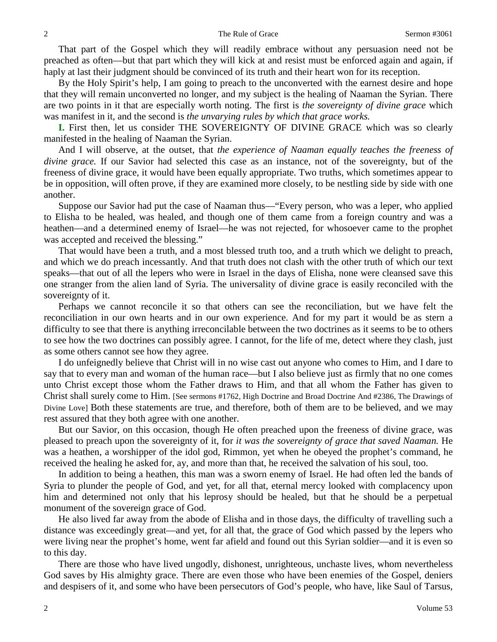That part of the Gospel which they will readily embrace without any persuasion need not be preached as often—but that part which they will kick at and resist must be enforced again and again, if haply at last their judgment should be convinced of its truth and their heart won for its reception.

By the Holy Spirit's help, I am going to preach to the unconverted with the earnest desire and hope that they will remain unconverted no longer, and my subject is the healing of Naaman the Syrian. There are two points in it that are especially worth noting. The first is *the sovereignty of divine grace* which was manifest in it, and the second is *the unvarying rules by which that grace works.*

**I.** First then, let us consider THE SOVEREIGNTY OF DIVINE GRACE which was so clearly manifested in the healing of Naaman the Syrian.

And I will observe, at the outset, that *the experience of Naaman equally teaches the freeness of divine grace.* If our Savior had selected this case as an instance, not of the sovereignty, but of the freeness of divine grace, it would have been equally appropriate. Two truths, which sometimes appear to be in opposition, will often prove, if they are examined more closely, to be nestling side by side with one another.

Suppose our Savior had put the case of Naaman thus—"Every person, who was a leper, who applied to Elisha to be healed, was healed, and though one of them came from a foreign country and was a heathen—and a determined enemy of Israel—he was not rejected, for whosoever came to the prophet was accepted and received the blessing."

That would have been a truth, and a most blessed truth too, and a truth which we delight to preach, and which we do preach incessantly. And that truth does not clash with the other truth of which our text speaks—that out of all the lepers who were in Israel in the days of Elisha, none were cleansed save this one stranger from the alien land of Syria. The universality of divine grace is easily reconciled with the sovereignty of it.

Perhaps we cannot reconcile it so that others can see the reconciliation, but we have felt the reconciliation in our own hearts and in our own experience. And for my part it would be as stern a difficulty to see that there is anything irreconcilable between the two doctrines as it seems to be to others to see how the two doctrines can possibly agree. I cannot, for the life of me, detect where they clash, just as some others cannot see how they agree.

I do unfeignedly believe that Christ will in no wise cast out anyone who comes to Him, and I dare to say that to every man and woman of the human race—but I also believe just as firmly that no one comes unto Christ except those whom the Father draws to Him, and that all whom the Father has given to Christ shall surely come to Him. [See sermons #1762, High Doctrine and Broad Doctrine And #2386, The Drawings of Divine Love] Both these statements are true, and therefore, both of them are to be believed, and we may rest assured that they both agree with one another.

But our Savior, on this occasion, though He often preached upon the freeness of divine grace, was pleased to preach upon the sovereignty of it, for *it was the sovereignty of grace that saved Naaman.* He was a heathen, a worshipper of the idol god, Rimmon, yet when he obeyed the prophet's command, he received the healing he asked for, ay, and more than that, he received the salvation of his soul, too.

In addition to being a heathen, this man was a sworn enemy of Israel. He had often led the bands of Syria to plunder the people of God, and yet, for all that, eternal mercy looked with complacency upon him and determined not only that his leprosy should be healed, but that he should be a perpetual monument of the sovereign grace of God.

He also lived far away from the abode of Elisha and in those days, the difficulty of travelling such a distance was exceedingly great—and yet, for all that, the grace of God which passed by the lepers who were living near the prophet's home, went far afield and found out this Syrian soldier—and it is even so to this day.

There are those who have lived ungodly, dishonest, unrighteous, unchaste lives, whom nevertheless God saves by His almighty grace. There are even those who have been enemies of the Gospel, deniers and despisers of it, and some who have been persecutors of God's people, who have, like Saul of Tarsus,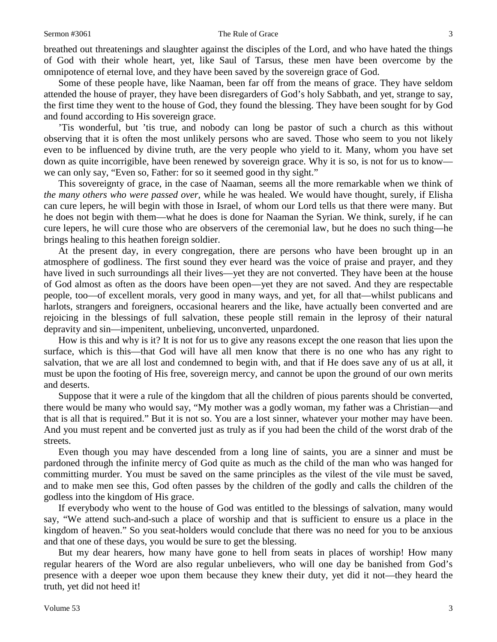#### Sermon #3061 The Rule of Grace 3

breathed out threatenings and slaughter against the disciples of the Lord, and who have hated the things of God with their whole heart, yet, like Saul of Tarsus, these men have been overcome by the omnipotence of eternal love, and they have been saved by the sovereign grace of God.

Some of these people have, like Naaman, been far off from the means of grace. They have seldom attended the house of prayer, they have been disregarders of God's holy Sabbath, and yet, strange to say, the first time they went to the house of God, they found the blessing. They have been sought for by God and found according to His sovereign grace.

'Tis wonderful, but 'tis true, and nobody can long be pastor of such a church as this without observing that it is often the most unlikely persons who are saved. Those who seem to you not likely even to be influenced by divine truth, are the very people who yield to it. Many, whom you have set down as quite incorrigible, have been renewed by sovereign grace. Why it is so, is not for us to know we can only say, "Even so, Father: for so it seemed good in thy sight."

This sovereignty of grace, in the case of Naaman, seems all the more remarkable when we think of *the many others who were passed over,* while he was healed. We would have thought, surely, if Elisha can cure lepers, he will begin with those in Israel, of whom our Lord tells us that there were many. But he does not begin with them—what he does is done for Naaman the Syrian. We think, surely, if he can cure lepers, he will cure those who are observers of the ceremonial law, but he does no such thing—he brings healing to this heathen foreign soldier.

At the present day, in every congregation, there are persons who have been brought up in an atmosphere of godliness. The first sound they ever heard was the voice of praise and prayer, and they have lived in such surroundings all their lives—yet they are not converted. They have been at the house of God almost as often as the doors have been open—yet they are not saved. And they are respectable people, too—of excellent morals, very good in many ways, and yet, for all that—whilst publicans and harlots, strangers and foreigners, occasional hearers and the like, have actually been converted and are rejoicing in the blessings of full salvation, these people still remain in the leprosy of their natural depravity and sin—impenitent, unbelieving, unconverted, unpardoned.

How is this and why is it? It is not for us to give any reasons except the one reason that lies upon the surface, which is this—that God will have all men know that there is no one who has any right to salvation, that we are all lost and condemned to begin with, and that if He does save any of us at all, it must be upon the footing of His free, sovereign mercy, and cannot be upon the ground of our own merits and deserts.

Suppose that it were a rule of the kingdom that all the children of pious parents should be converted, there would be many who would say, "My mother was a godly woman, my father was a Christian—and that is all that is required." But it is not so. You are a lost sinner, whatever your mother may have been. And you must repent and be converted just as truly as if you had been the child of the worst drab of the streets.

Even though you may have descended from a long line of saints, you are a sinner and must be pardoned through the infinite mercy of God quite as much as the child of the man who was hanged for committing murder. You must be saved on the same principles as the vilest of the vile must be saved, and to make men see this, God often passes by the children of the godly and calls the children of the godless into the kingdom of His grace.

If everybody who went to the house of God was entitled to the blessings of salvation, many would say, "We attend such-and-such a place of worship and that is sufficient to ensure us a place in the kingdom of heaven." So you seat-holders would conclude that there was no need for you to be anxious and that one of these days, you would be sure to get the blessing.

But my dear hearers, how many have gone to hell from seats in places of worship! How many regular hearers of the Word are also regular unbelievers, who will one day be banished from God's presence with a deeper woe upon them because they knew their duty, yet did it not—they heard the truth, yet did not heed it!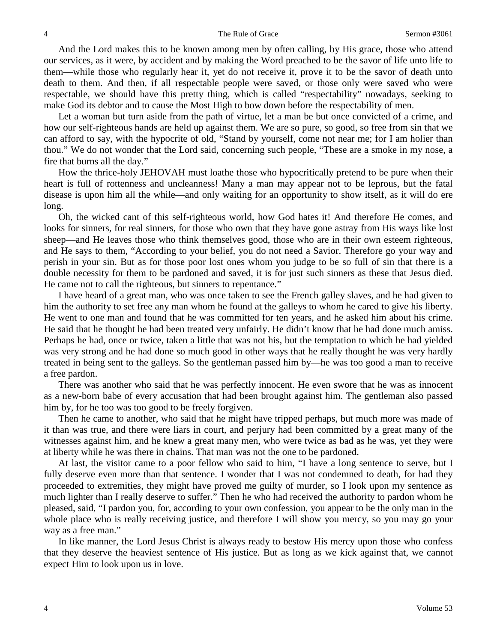And the Lord makes this to be known among men by often calling, by His grace, those who attend our services, as it were, by accident and by making the Word preached to be the savor of life unto life to them—while those who regularly hear it, yet do not receive it, prove it to be the savor of death unto death to them. And then, if all respectable people were saved, or those only were saved who were respectable, we should have this pretty thing, which is called "respectability" nowadays, seeking to make God its debtor and to cause the Most High to bow down before the respectability of men.

Let a woman but turn aside from the path of virtue, let a man be but once convicted of a crime, and how our self-righteous hands are held up against them. We are so pure, so good, so free from sin that we can afford to say, with the hypocrite of old, "Stand by yourself, come not near me; for I am holier than thou." We do not wonder that the Lord said, concerning such people, "These are a smoke in my nose, a fire that burns all the day."

How the thrice-holy JEHOVAH must loathe those who hypocritically pretend to be pure when their heart is full of rottenness and uncleanness! Many a man may appear not to be leprous, but the fatal disease is upon him all the while—and only waiting for an opportunity to show itself, as it will do ere long.

Oh, the wicked cant of this self-righteous world, how God hates it! And therefore He comes, and looks for sinners, for real sinners, for those who own that they have gone astray from His ways like lost sheep—and He leaves those who think themselves good, those who are in their own esteem righteous, and He says to them, "According to your belief, you do not need a Savior. Therefore go your way and perish in your sin. But as for those poor lost ones whom you judge to be so full of sin that there is a double necessity for them to be pardoned and saved, it is for just such sinners as these that Jesus died. He came not to call the righteous, but sinners to repentance."

I have heard of a great man, who was once taken to see the French galley slaves, and he had given to him the authority to set free any man whom he found at the galleys to whom he cared to give his liberty. He went to one man and found that he was committed for ten years, and he asked him about his crime. He said that he thought he had been treated very unfairly. He didn't know that he had done much amiss. Perhaps he had, once or twice, taken a little that was not his, but the temptation to which he had yielded was very strong and he had done so much good in other ways that he really thought he was very hardly treated in being sent to the galleys. So the gentleman passed him by—he was too good a man to receive a free pardon.

There was another who said that he was perfectly innocent. He even swore that he was as innocent as a new-born babe of every accusation that had been brought against him. The gentleman also passed him by, for he too was too good to be freely forgiven.

Then he came to another, who said that he might have tripped perhaps, but much more was made of it than was true, and there were liars in court, and perjury had been committed by a great many of the witnesses against him, and he knew a great many men, who were twice as bad as he was, yet they were at liberty while he was there in chains. That man was not the one to be pardoned.

At last, the visitor came to a poor fellow who said to him, "I have a long sentence to serve, but I fully deserve even more than that sentence. I wonder that I was not condemned to death, for had they proceeded to extremities, they might have proved me guilty of murder, so I look upon my sentence as much lighter than I really deserve to suffer." Then he who had received the authority to pardon whom he pleased, said, "I pardon you, for, according to your own confession, you appear to be the only man in the whole place who is really receiving justice, and therefore I will show you mercy, so you may go your way as a free man."

In like manner, the Lord Jesus Christ is always ready to bestow His mercy upon those who confess that they deserve the heaviest sentence of His justice. But as long as we kick against that, we cannot expect Him to look upon us in love.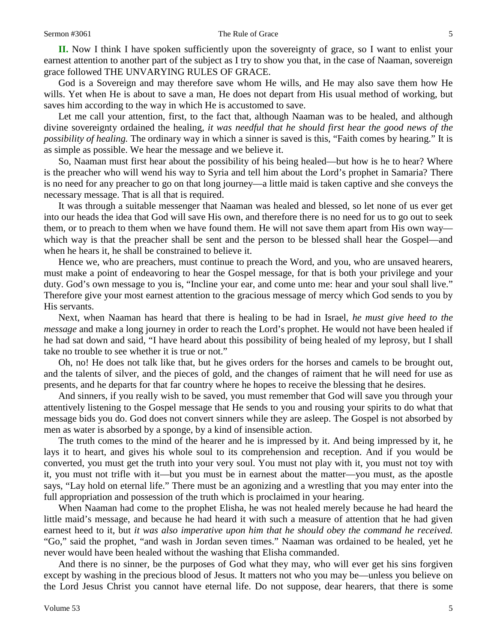**II.** Now I think I have spoken sufficiently upon the sovereignty of grace, so I want to enlist your earnest attention to another part of the subject as I try to show you that, in the case of Naaman, sovereign grace followed THE UNVARYING RULES OF GRACE.

God is a Sovereign and may therefore save whom He wills, and He may also save them how He wills. Yet when He is about to save a man, He does not depart from His usual method of working, but saves him according to the way in which He is accustomed to save.

Let me call your attention, first, to the fact that, although Naaman was to be healed, and although divine sovereignty ordained the healing, *it was needful that he should first hear the good news of the possibility of healing.* The ordinary way in which a sinner is saved is this, "Faith comes by hearing." It is as simple as possible. We hear the message and we believe it.

So, Naaman must first hear about the possibility of his being healed—but how is he to hear? Where is the preacher who will wend his way to Syria and tell him about the Lord's prophet in Samaria? There is no need for any preacher to go on that long journey—a little maid is taken captive and she conveys the necessary message. That is all that is required.

It was through a suitable messenger that Naaman was healed and blessed, so let none of us ever get into our heads the idea that God will save His own, and therefore there is no need for us to go out to seek them, or to preach to them when we have found them. He will not save them apart from His own way which way is that the preacher shall be sent and the person to be blessed shall hear the Gospel—and when he hears it, he shall be constrained to believe it.

Hence we, who are preachers, must continue to preach the Word, and you, who are unsaved hearers, must make a point of endeavoring to hear the Gospel message, for that is both your privilege and your duty. God's own message to you is, "Incline your ear, and come unto me: hear and your soul shall live." Therefore give your most earnest attention to the gracious message of mercy which God sends to you by His servants.

Next, when Naaman has heard that there is healing to be had in Israel, *he must give heed to the message* and make a long journey in order to reach the Lord's prophet. He would not have been healed if he had sat down and said, "I have heard about this possibility of being healed of my leprosy, but I shall take no trouble to see whether it is true or not."

Oh, no! He does not talk like that, but he gives orders for the horses and camels to be brought out, and the talents of silver, and the pieces of gold, and the changes of raiment that he will need for use as presents, and he departs for that far country where he hopes to receive the blessing that he desires.

And sinners, if you really wish to be saved, you must remember that God will save you through your attentively listening to the Gospel message that He sends to you and rousing your spirits to do what that message bids you do. God does not convert sinners while they are asleep. The Gospel is not absorbed by men as water is absorbed by a sponge, by a kind of insensible action.

The truth comes to the mind of the hearer and he is impressed by it. And being impressed by it, he lays it to heart, and gives his whole soul to its comprehension and reception. And if you would be converted, you must get the truth into your very soul. You must not play with it, you must not toy with it, you must not trifle with it—but you must be in earnest about the matter—you must, as the apostle says, "Lay hold on eternal life." There must be an agonizing and a wrestling that you may enter into the full appropriation and possession of the truth which is proclaimed in your hearing.

When Naaman had come to the prophet Elisha, he was not healed merely because he had heard the little maid's message, and because he had heard it with such a measure of attention that he had given earnest heed to it, but *it was also imperative upon him that he should obey the command he received.*  "Go," said the prophet, "and wash in Jordan seven times." Naaman was ordained to be healed, yet he never would have been healed without the washing that Elisha commanded.

And there is no sinner, be the purposes of God what they may, who will ever get his sins forgiven except by washing in the precious blood of Jesus. It matters not who you may be—unless you believe on the Lord Jesus Christ you cannot have eternal life. Do not suppose, dear hearers, that there is some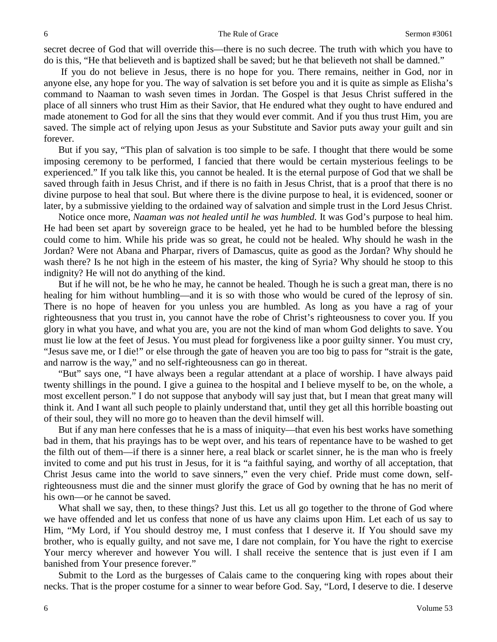secret decree of God that will override this—there is no such decree. The truth with which you have to do is this, "He that believeth and is baptized shall be saved; but he that believeth not shall be damned."

If you do not believe in Jesus, there is no hope for you. There remains, neither in God, nor in anyone else, any hope for you. The way of salvation is set before you and it is quite as simple as Elisha's command to Naaman to wash seven times in Jordan. The Gospel is that Jesus Christ suffered in the place of all sinners who trust Him as their Savior, that He endured what they ought to have endured and made atonement to God for all the sins that they would ever commit. And if you thus trust Him, you are saved. The simple act of relying upon Jesus as your Substitute and Savior puts away your guilt and sin forever.

But if you say, "This plan of salvation is too simple to be safe. I thought that there would be some imposing ceremony to be performed, I fancied that there would be certain mysterious feelings to be experienced." If you talk like this, you cannot be healed. It is the eternal purpose of God that we shall be saved through faith in Jesus Christ, and if there is no faith in Jesus Christ, that is a proof that there is no divine purpose to heal that soul. But where there is the divine purpose to heal, it is evidenced, sooner or later, by a submissive yielding to the ordained way of salvation and simple trust in the Lord Jesus Christ.

Notice once more, *Naaman was not healed until he was humbled.* It was God's purpose to heal him. He had been set apart by sovereign grace to be healed, yet he had to be humbled before the blessing could come to him. While his pride was so great, he could not be healed. Why should he wash in the Jordan? Were not Abana and Pharpar, rivers of Damascus, quite as good as the Jordan? Why should he wash there? Is he not high in the esteem of his master, the king of Syria? Why should he stoop to this indignity? He will not do anything of the kind.

But if he will not, be he who he may, he cannot be healed. Though he is such a great man, there is no healing for him without humbling—and it is so with those who would be cured of the leprosy of sin. There is no hope of heaven for you unless you are humbled. As long as you have a rag of your righteousness that you trust in, you cannot have the robe of Christ's righteousness to cover you. If you glory in what you have, and what you are, you are not the kind of man whom God delights to save. You must lie low at the feet of Jesus. You must plead for forgiveness like a poor guilty sinner. You must cry, "Jesus save me, or I die!" or else through the gate of heaven you are too big to pass for "strait is the gate, and narrow is the way," and no self-righteousness can go in thereat.

"But" says one, "I have always been a regular attendant at a place of worship. I have always paid twenty shillings in the pound. I give a guinea to the hospital and I believe myself to be, on the whole, a most excellent person." I do not suppose that anybody will say just that, but I mean that great many will think it. And I want all such people to plainly understand that, until they get all this horrible boasting out of their soul, they will no more go to heaven than the devil himself will.

But if any man here confesses that he is a mass of iniquity—that even his best works have something bad in them, that his prayings has to be wept over, and his tears of repentance have to be washed to get the filth out of them—if there is a sinner here, a real black or scarlet sinner, he is the man who is freely invited to come and put his trust in Jesus, for it is "a faithful saying, and worthy of all acceptation, that Christ Jesus came into the world to save sinners," even the very chief. Pride must come down, selfrighteousness must die and the sinner must glorify the grace of God by owning that he has no merit of his own—or he cannot be saved.

What shall we say, then, to these things? Just this. Let us all go together to the throne of God where we have offended and let us confess that none of us have any claims upon Him. Let each of us say to Him, "My Lord, if You should destroy me, I must confess that I deserve it. If You should save my brother, who is equally guilty, and not save me, I dare not complain, for You have the right to exercise Your mercy wherever and however You will. I shall receive the sentence that is just even if I am banished from Your presence forever."

Submit to the Lord as the burgesses of Calais came to the conquering king with ropes about their necks. That is the proper costume for a sinner to wear before God. Say, "Lord, I deserve to die. I deserve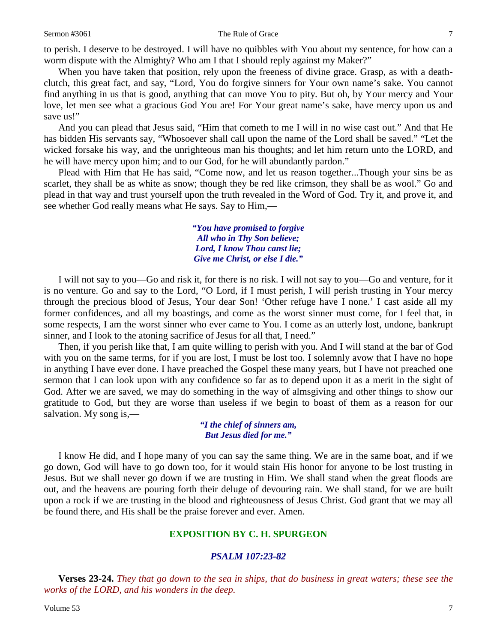to perish. I deserve to be destroyed. I will have no quibbles with You about my sentence, for how can a worm dispute with the Almighty? Who am I that I should reply against my Maker?"

When you have taken that position, rely upon the freeness of divine grace. Grasp, as with a deathclutch, this great fact, and say, "Lord, You do forgive sinners for Your own name's sake. You cannot find anything in us that is good, anything that can move You to pity. But oh, by Your mercy and Your love, let men see what a gracious God You are! For Your great name's sake, have mercy upon us and save us!"

And you can plead that Jesus said, "Him that cometh to me I will in no wise cast out." And that He has bidden His servants say, "Whosoever shall call upon the name of the Lord shall be saved." "Let the wicked forsake his way, and the unrighteous man his thoughts; and let him return unto the LORD, and he will have mercy upon him; and to our God, for he will abundantly pardon."

Plead with Him that He has said, "Come now, and let us reason together...Though your sins be as scarlet, they shall be as white as snow; though they be red like crimson, they shall be as wool." Go and plead in that way and trust yourself upon the truth revealed in the Word of God. Try it, and prove it, and see whether God really means what He says. Say to Him,—

> *"You have promised to forgive All who in Thy Son believe; Lord, I know Thou canst lie; Give me Christ, or else I die."*

I will not say to you—Go and risk it, for there is no risk. I will not say to you—Go and venture, for it is no venture. Go and say to the Lord, "O Lord, if I must perish, I will perish trusting in Your mercy through the precious blood of Jesus, Your dear Son! 'Other refuge have I none.' I cast aside all my former confidences, and all my boastings, and come as the worst sinner must come, for I feel that, in some respects, I am the worst sinner who ever came to You. I come as an utterly lost, undone, bankrupt sinner, and I look to the atoning sacrifice of Jesus for all that, I need."

Then, if you perish like that, I am quite willing to perish with you. And I will stand at the bar of God with you on the same terms, for if you are lost, I must be lost too. I solemnly avow that I have no hope in anything I have ever done. I have preached the Gospel these many years, but I have not preached one sermon that I can look upon with any confidence so far as to depend upon it as a merit in the sight of God. After we are saved, we may do something in the way of almsgiving and other things to show our gratitude to God, but they are worse than useless if we begin to boast of them as a reason for our salvation. My song is,—

> *"I the chief of sinners am, But Jesus died for me."*

I know He did, and I hope many of you can say the same thing. We are in the same boat, and if we go down, God will have to go down too, for it would stain His honor for anyone to be lost trusting in Jesus. But we shall never go down if we are trusting in Him. We shall stand when the great floods are out, and the heavens are pouring forth their deluge of devouring rain. We shall stand, for we are built upon a rock if we are trusting in the blood and righteousness of Jesus Christ. God grant that we may all be found there, and His shall be the praise forever and ever. Amen.

## **EXPOSITION BY C. H. SPURGEON**

## *PSALM 107:23-82*

**Verses 23-24.** *They that go down to the sea in ships, that do business in great waters; these see the works of the LORD, and his wonders in the deep.*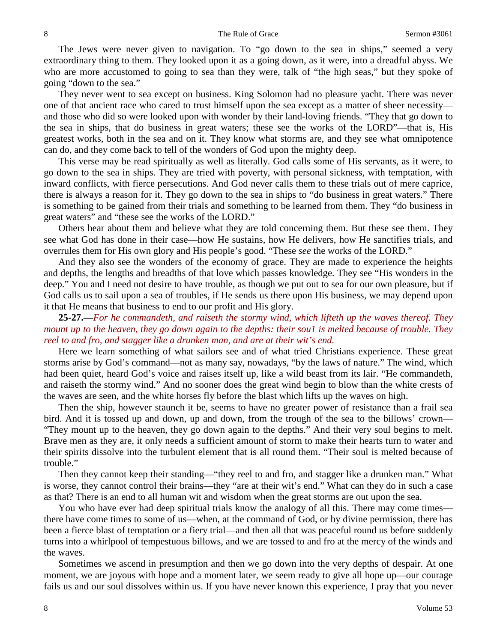The Jews were never given to navigation. To "go down to the sea in ships," seemed a very extraordinary thing to them. They looked upon it as a going down, as it were, into a dreadful abyss. We who are more accustomed to going to sea than they were, talk of "the high seas," but they spoke of going "down to the sea."

They never went to sea except on business. King Solomon had no pleasure yacht. There was never one of that ancient race who cared to trust himself upon the sea except as a matter of sheer necessity and those who did so were looked upon with wonder by their land-loving friends. "They that go down to the sea in ships, that do business in great waters; these see the works of the LORD"—that is, His greatest works, both in the sea and on it. They know what storms are, and they see what omnipotence can do, and they come back to tell of the wonders of God upon the mighty deep.

This verse may be read spiritually as well as literally. God calls some of His servants, as it were, to go down to the sea in ships. They are tried with poverty, with personal sickness, with temptation, with inward conflicts, with fierce persecutions. And God never calls them to these trials out of mere caprice, there is always a reason for it. They go down to the sea in ships to "do business in great waters." There is something to be gained from their trials and something to be learned from them. They "do business in great waters" and "these see the works of the LORD."

Others hear about them and believe what they are told concerning them. But these see them. They see what God has done in their case—how He sustains, how He delivers, how He sanctifies trials, and overrules them for His own glory and His people's good. "These *see* the works of the LORD."

And they also see the wonders of the economy of grace. They are made to experience the heights and depths, the lengths and breadths of that love which passes knowledge. They see "His wonders in the deep." You and I need not desire to have trouble, as though we put out to sea for our own pleasure, but if God calls us to sail upon a sea of troubles, if He sends us there upon His business, we may depend upon it that He means that business to end to our profit and His glory.

**25-27.—***For he commandeth, and raiseth the stormy wind, which lifteth up the waves thereof. They mount up to the heaven, they go down again to the depths: their sou1 is melted because of trouble. They reel to and fro, and stagger like a drunken man, and are at their wit's end.*

Here we learn something of what sailors see and of what tried Christians experience. These great storms arise by God's command—not as many say, nowadays, "by the laws of nature." The wind, which had been quiet, heard God's voice and raises itself up, like a wild beast from its lair. "He commandeth, and raiseth the stormy wind." And no sooner does the great wind begin to blow than the white crests of the waves are seen, and the white horses fly before the blast which lifts up the waves on high.

Then the ship, however staunch it be, seems to have no greater power of resistance than a frail sea bird. And it is tossed up and down, up and down, from the trough of the sea to the billows' crown— "They mount up to the heaven, they go down again to the depths." And their very soul begins to melt. Brave men as they are, it only needs a sufficient amount of storm to make their hearts turn to water and their spirits dissolve into the turbulent element that is all round them. "Their soul is melted because of trouble."

Then they cannot keep their standing—"they reel to and fro, and stagger like a drunken man." What is worse, they cannot control their brains—they "are at their wit's end." What can they do in such a case as that? There is an end to all human wit and wisdom when the great storms are out upon the sea.

You who have ever had deep spiritual trials know the analogy of all this. There may come times there have come times to some of us—when, at the command of God, or by divine permission, there has been a fierce blast of temptation or a fiery trial—and then all that was peaceful round us before suddenly turns into a whirlpool of tempestuous billows, and we are tossed to and fro at the mercy of the winds and the waves.

Sometimes we ascend in presumption and then we go down into the very depths of despair. At one moment, we are joyous with hope and a moment later, we seem ready to give all hope up—our courage fails us and our soul dissolves within us. If you have never known this experience, I pray that you never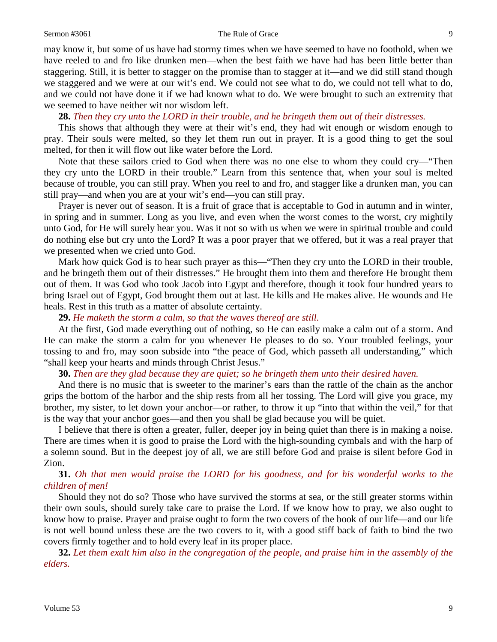#### Sermon #3061 The Rule of Grace 9

may know it, but some of us have had stormy times when we have seemed to have no foothold, when we have reeled to and fro like drunken men—when the best faith we have had has been little better than staggering. Still, it is better to stagger on the promise than to stagger at it—and we did still stand though we staggered and we were at our wit's end. We could not see what to do, we could not tell what to do, and we could not have done it if we had known what to do. We were brought to such an extremity that we seemed to have neither wit nor wisdom left.

#### **28.** *Then they cry unto the LORD in their trouble, and he bringeth them out of their distresses.*

This shows that although they were at their wit's end, they had wit enough or wisdom enough to pray. Their souls were melted, so they let them run out in prayer. It is a good thing to get the soul melted, for then it will flow out like water before the Lord.

Note that these sailors cried to God when there was no one else to whom they could cry—"Then they cry unto the LORD in their trouble." Learn from this sentence that, when your soul is melted because of trouble, you can still pray. When you reel to and fro, and stagger like a drunken man, you can still pray—and when you are at your wit's end—you can still pray.

Prayer is never out of season. It is a fruit of grace that is acceptable to God in autumn and in winter, in spring and in summer. Long as you live, and even when the worst comes to the worst, cry mightily unto God, for He will surely hear you. Was it not so with us when we were in spiritual trouble and could do nothing else but cry unto the Lord? It was a poor prayer that we offered, but it was a real prayer that we presented when we cried unto God.

Mark how quick God is to hear such prayer as this—"Then they cry unto the LORD in their trouble, and he bringeth them out of their distresses." He brought them into them and therefore He brought them out of them. It was God who took Jacob into Egypt and therefore, though it took four hundred years to bring Israel out of Egypt, God brought them out at last. He kills and He makes alive. He wounds and He heals. Rest in this truth as a matter of absolute certainty.

#### **29.** *He maketh the storm a calm, so that the waves thereof are still.*

At the first, God made everything out of nothing, so He can easily make a calm out of a storm. And He can make the storm a calm for you whenever He pleases to do so. Your troubled feelings, your tossing to and fro, may soon subside into "the peace of God, which passeth all understanding," which "shall keep your hearts and minds through Christ Jesus."

#### **30.** *Then are they glad because they are quiet; so he bringeth them unto their desired haven.*

And there is no music that is sweeter to the mariner's ears than the rattle of the chain as the anchor grips the bottom of the harbor and the ship rests from all her tossing. The Lord will give you grace, my brother, my sister, to let down your anchor—or rather, to throw it up "into that within the veil," for that is the way that your anchor goes—and then you shall be glad because you will be quiet.

I believe that there is often a greater, fuller, deeper joy in being quiet than there is in making a noise. There are times when it is good to praise the Lord with the high-sounding cymbals and with the harp of a solemn sound. But in the deepest joy of all, we are still before God and praise is silent before God in Zion.

# **31.** *Oh that men would praise the LORD for his goodness, and for his wonderful works to the children of men!*

Should they not do so? Those who have survived the storms at sea, or the still greater storms within their own souls, should surely take care to praise the Lord. If we know how to pray, we also ought to know how to praise. Prayer and praise ought to form the two covers of the book of our life—and our life is not well bound unless these are the two covers to it, with a good stiff back of faith to bind the two covers firmly together and to hold every leaf in its proper place.

**32.** *Let them exalt him also in the congregation of the people, and praise him in the assembly of the elders.*